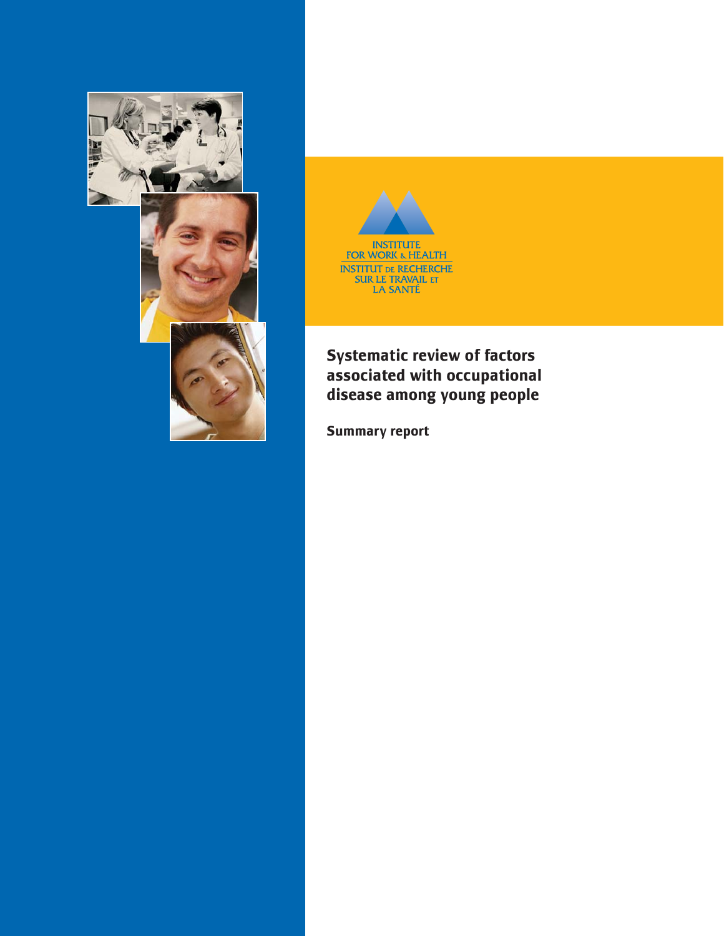



# **Systematic review of factors associated with occupational disease among young people**

**Summary report**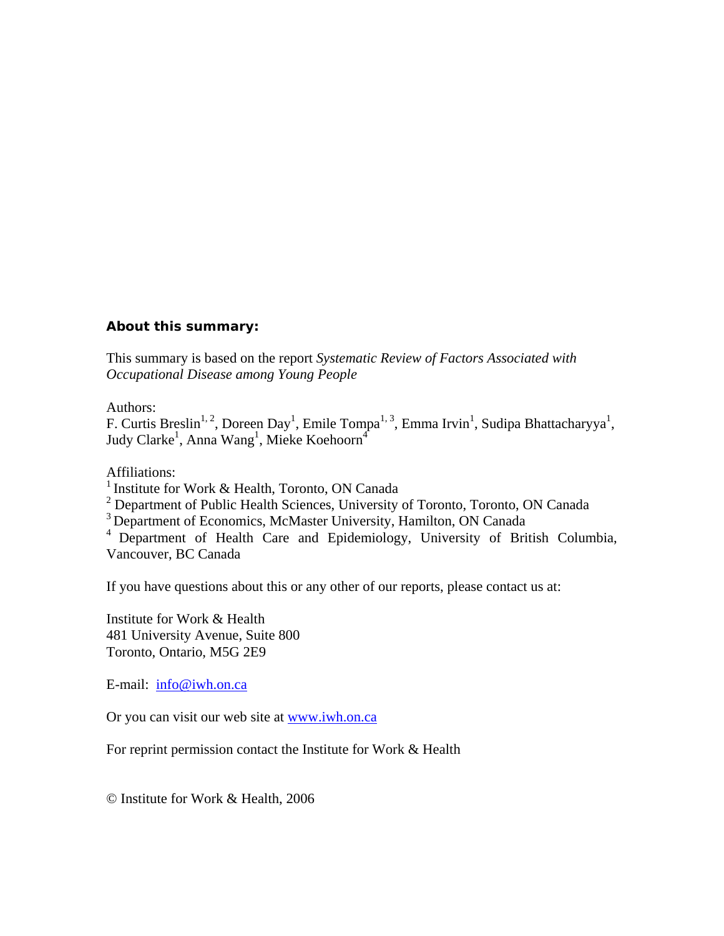#### **About this summary:**

This summary is based on the report *Systematic Review of Factors Associated with Occupational Disease among Young People* 

#### Authors:

F. Curtis Breslin<sup>1, 2</sup>, Doreen Day<sup>1</sup>, Emile Tompa<sup>1, 3</sup>, Emma Irvin<sup>1</sup>, Sudipa Bhattacharyya<sup>1</sup>, Judy Clarke<sup>1</sup>, Anna Wang<sup>1</sup>, Mieke Koehoorn<sup>4</sup>

Affiliations:

<sup>1</sup> Institute for Work & Health, Toronto, ON Canada

<sup>2</sup> Department of Public Health Sciences, University of Toronto, Toronto, ON Canada

<sup>3</sup> Department of Economics, McMaster University, Hamilton, ON Canada

<sup>4</sup> Department of Health Care and Epidemiology, University of British Columbia, Vancouver, BC Canada

If you have questions about this or any other of our reports, please contact us at:

Institute for Work & Health 481 University Avenue, Suite 800 Toronto, Ontario, M5G 2E9

E-mail: [info@iwh.on.ca](mailto:info@iwh.on.ca)

Or you can visit our web site at [www.iwh.on.ca](http://www.iwh.on.ca/)

For reprint permission contact the Institute for Work & Health

© Institute for Work & Health, 2006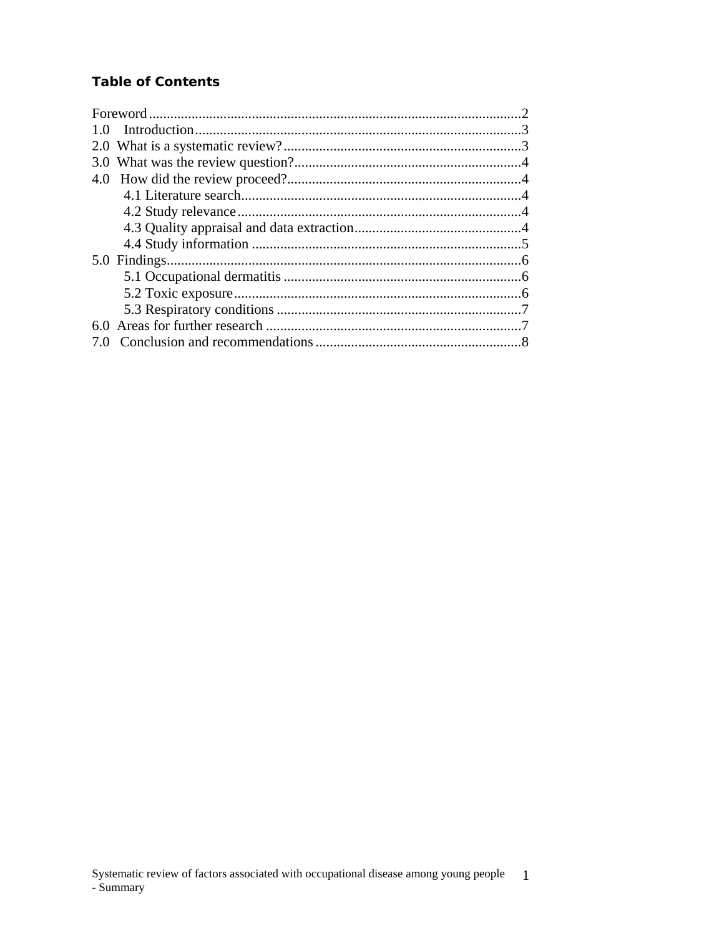# **Table of Contents**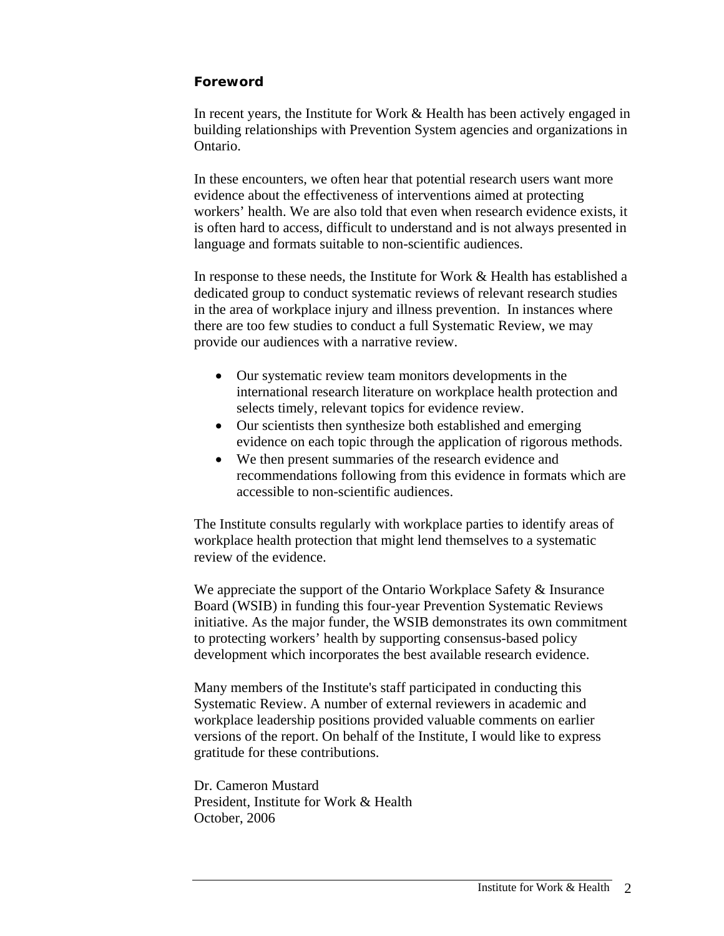### <span id="page-3-0"></span>**Foreword**

In recent years, the Institute for Work & Health has been actively engaged in building relationships with Prevention System agencies and organizations in Ontario.

In these encounters, we often hear that potential research users want more evidence about the effectiveness of interventions aimed at protecting workers' health. We are also told that even when research evidence exists, it is often hard to access, difficult to understand and is not always presented in language and formats suitable to non-scientific audiences.

In response to these needs, the Institute for Work & Health has established a dedicated group to conduct systematic reviews of relevant research studies in the area of workplace injury and illness prevention. In instances where there are too few studies to conduct a full Systematic Review, we may provide our audiences with a narrative review.

- Our systematic review team monitors developments in the international research literature on workplace health protection and selects timely, relevant topics for evidence review.
- Our scientists then synthesize both established and emerging evidence on each topic through the application of rigorous methods.
- We then present summaries of the research evidence and recommendations following from this evidence in formats which are accessible to non-scientific audiences.

The Institute consults regularly with workplace parties to identify areas of workplace health protection that might lend themselves to a systematic review of the evidence.

We appreciate the support of the Ontario Workplace Safety & Insurance Board (WSIB) in funding this four-year Prevention Systematic Reviews initiative. As the major funder, the WSIB demonstrates its own commitment to protecting workers' health by supporting consensus-based policy development which incorporates the best available research evidence.

Many members of the Institute's staff participated in conducting this Systematic Review. A number of external reviewers in academic and workplace leadership positions provided valuable comments on earlier versions of the report. On behalf of the Institute, I would like to express gratitude for these contributions.

Dr. Cameron Mustard President, Institute for Work & Health October, 2006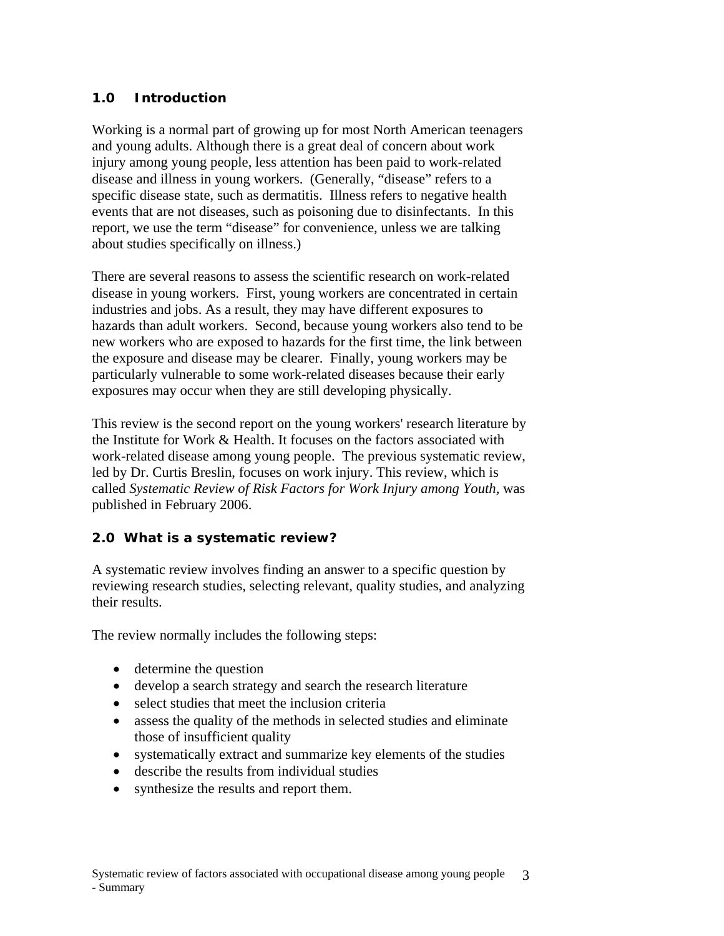# <span id="page-4-0"></span>**1.0 Introduction**

Working is a normal part of growing up for most North American teenagers and young adults. Although there is a great deal of concern about work injury among young people, less attention has been paid to work-related disease and illness in young workers. (Generally, "disease" refers to a specific disease state, such as dermatitis. Illness refers to negative health events that are not diseases, such as poisoning due to disinfectants. In this report, we use the term "disease" for convenience, unless we are talking about studies specifically on illness.)

There are several reasons to assess the scientific research on work-related disease in young workers. First, young workers are concentrated in certain industries and jobs. As a result, they may have different exposures to hazards than adult workers. Second, because young workers also tend to be new workers who are exposed to hazards for the first time, the link between the exposure and disease may be clearer. Finally, young workers may be particularly vulnerable to some work-related diseases because their early exposures may occur when they are still developing physically.

This review is the second report on the young workers' research literature by the Institute for Work & Health. It focuses on the factors associated with work-related disease among young people. The previous systematic review, led by Dr. Curtis Breslin, focuses on work injury. This review, which is called *Systematic Review of Risk Factors for Work Injury among Youth,* was published in February 2006.

### **2.0 What is a systematic review?**

A systematic review involves finding an answer to a specific question by reviewing research studies, selecting relevant, quality studies, and analyzing their results.

The review normally includes the following steps:

- determine the question
- develop a search strategy and search the research literature
- select studies that meet the inclusion criteria
- assess the quality of the methods in selected studies and eliminate those of insufficient quality
- systematically extract and summarize key elements of the studies
- describe the results from individual studies
- synthesize the results and report them.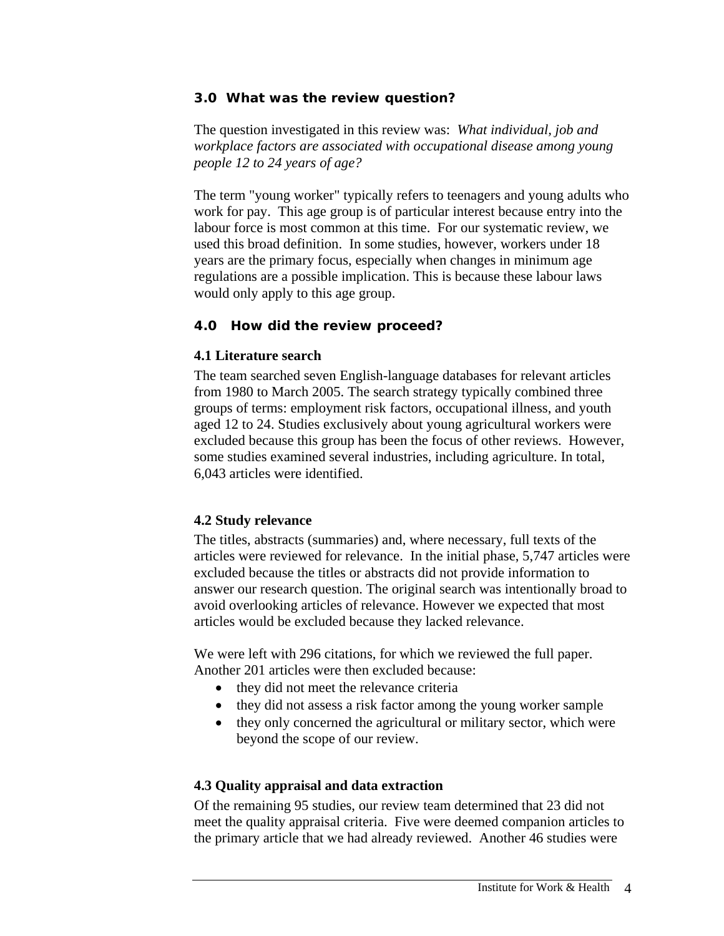#### <span id="page-5-0"></span>**3.0 What was the review question?**

The question investigated in this review was: *What individual, job and workplace factors are associated with occupational disease among young people 12 to 24 years of age?*

The term "young worker" typically refers to teenagers and young adults who work for pay. This age group is of particular interest because entry into the labour force is most common at this time. For our systematic review, we used this broad definition. In some studies, however, workers under 18 years are the primary focus, especially when changes in minimum age regulations are a possible implication. This is because these labour laws would only apply to this age group.

#### **4.0 How did the review proceed?**

#### **4.1 Literature search**

The team searched seven English-language databases for relevant articles from 1980 to March 2005. The search strategy typically combined three groups of terms: employment risk factors, occupational illness, and youth aged 12 to 24. Studies exclusively about young agricultural workers were excluded because this group has been the focus of other reviews. However, some studies examined several industries, including agriculture. In total, 6,043 articles were identified.

### **4.2 Study relevance**

The titles, abstracts (summaries) and, where necessary, full texts of the articles were reviewed for relevance. In the initial phase, 5,747 articles were excluded because the titles or abstracts did not provide information to answer our research question. The original search was intentionally broad to avoid overlooking articles of relevance. However we expected that most articles would be excluded because they lacked relevance.

We were left with 296 citations, for which we reviewed the full paper. Another 201 articles were then excluded because:

- they did not meet the relevance criteria
- they did not assess a risk factor among the young worker sample
- they only concerned the agricultural or military sector, which were beyond the scope of our review.

### **4.3 Quality appraisal and data extraction**

Of the remaining 95 studies, our review team determined that 23 did not meet the quality appraisal criteria. Five were deemed companion articles to the primary article that we had already reviewed. Another 46 studies were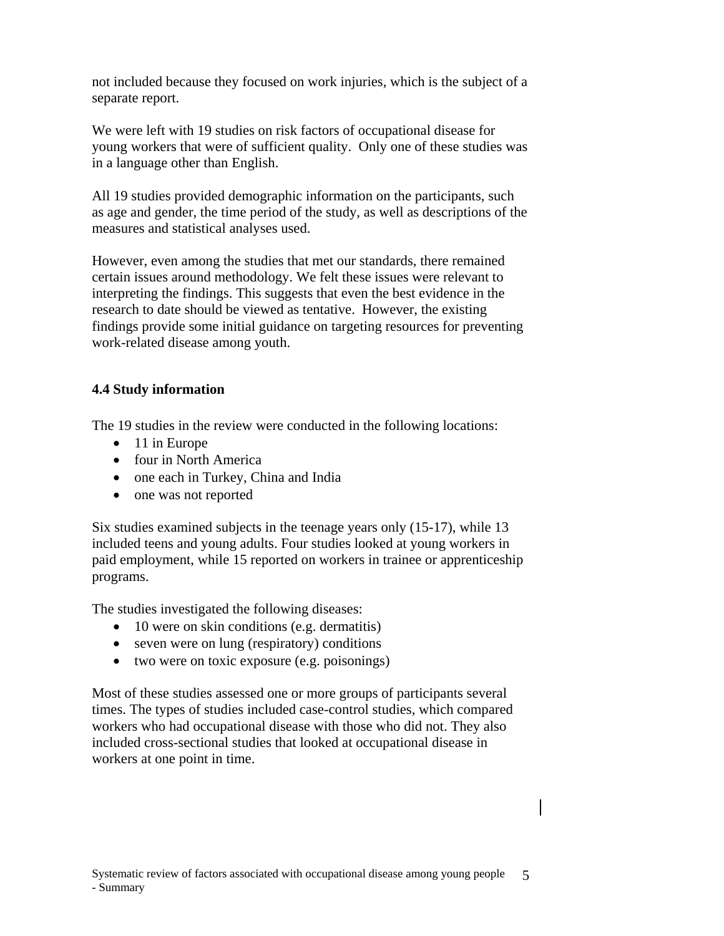<span id="page-6-0"></span>not included because they focused on work injuries, which is the subject of a separate report.

We were left with 19 studies on risk factors of occupational disease for young workers that were of sufficient quality. Only one of these studies was in a language other than English.

All 19 studies provided demographic information on the participants, such as age and gender, the time period of the study, as well as descriptions of the measures and statistical analyses used.

However, even among the studies that met our standards, there remained certain issues around methodology. We felt these issues were relevant to interpreting the findings. This suggests that even the best evidence in the research to date should be viewed as tentative. However, the existing findings provide some initial guidance on targeting resources for preventing work-related disease among youth.

### **4.4 Study information**

The 19 studies in the review were conducted in the following locations:

- 11 in Europe
- four in North America
- one each in Turkey, China and India
- one was not reported

Six studies examined subjects in the teenage years only (15-17), while 13 included teens and young adults. Four studies looked at young workers in paid employment, while 15 reported on workers in trainee or apprenticeship programs.

The studies investigated the following diseases:

- 10 were on skin conditions (e.g. dermatitis)
- seven were on lung (respiratory) conditions
- two were on toxic exposure (e.g. poisonings)

Most of these studies assessed one or more groups of participants several times. The types of studies included case-control studies, which compared workers who had occupational disease with those who did not. They also included cross-sectional studies that looked at occupational disease in workers at one point in time.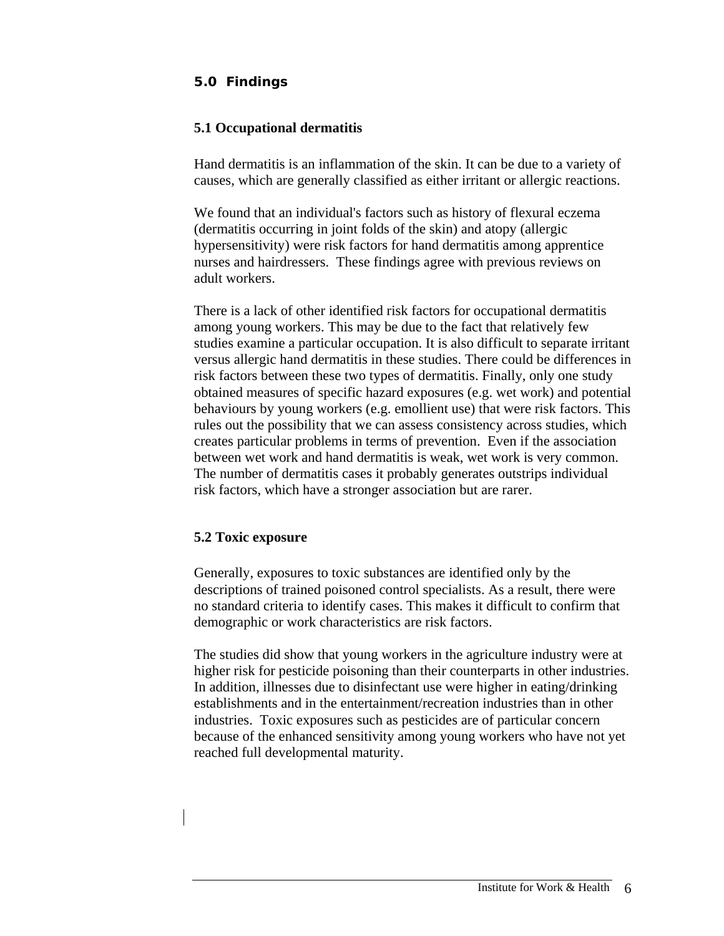# <span id="page-7-0"></span>**5.0 Findings**

#### **5.1 Occupational dermatitis**

Hand dermatitis is an inflammation of the skin. It can be due to a variety of causes, which are generally classified as either irritant or allergic reactions.

We found that an individual's factors such as history of flexural eczema (dermatitis occurring in joint folds of the skin) and atopy (allergic hypersensitivity) were risk factors for hand dermatitis among apprentice nurses and hairdressers. These findings agree with previous reviews on adult workers.

There is a lack of other identified risk factors for occupational dermatitis among young workers. This may be due to the fact that relatively few studies examine a particular occupation. It is also difficult to separate irritant versus allergic hand dermatitis in these studies. There could be differences in risk factors between these two types of dermatitis. Finally, only one study obtained measures of specific hazard exposures (e.g. wet work) and potential behaviours by young workers (e.g. emollient use) that were risk factors. This rules out the possibility that we can assess consistency across studies, which creates particular problems in terms of prevention. Even if the association between wet work and hand dermatitis is weak, wet work is very common. The number of dermatitis cases it probably generates outstrips individual risk factors, which have a stronger association but are rarer.

#### **5.2 Toxic exposure**

Generally, exposures to toxic substances are identified only by the descriptions of trained poisoned control specialists. As a result, there were no standard criteria to identify cases. This makes it difficult to confirm that demographic or work characteristics are risk factors.

The studies did show that young workers in the agriculture industry were at higher risk for pesticide poisoning than their counterparts in other industries. In addition, illnesses due to disinfectant use were higher in eating/drinking establishments and in the entertainment/recreation industries than in other industries. Toxic exposures such as pesticides are of particular concern because of the enhanced sensitivity among young workers who have not yet reached full developmental maturity.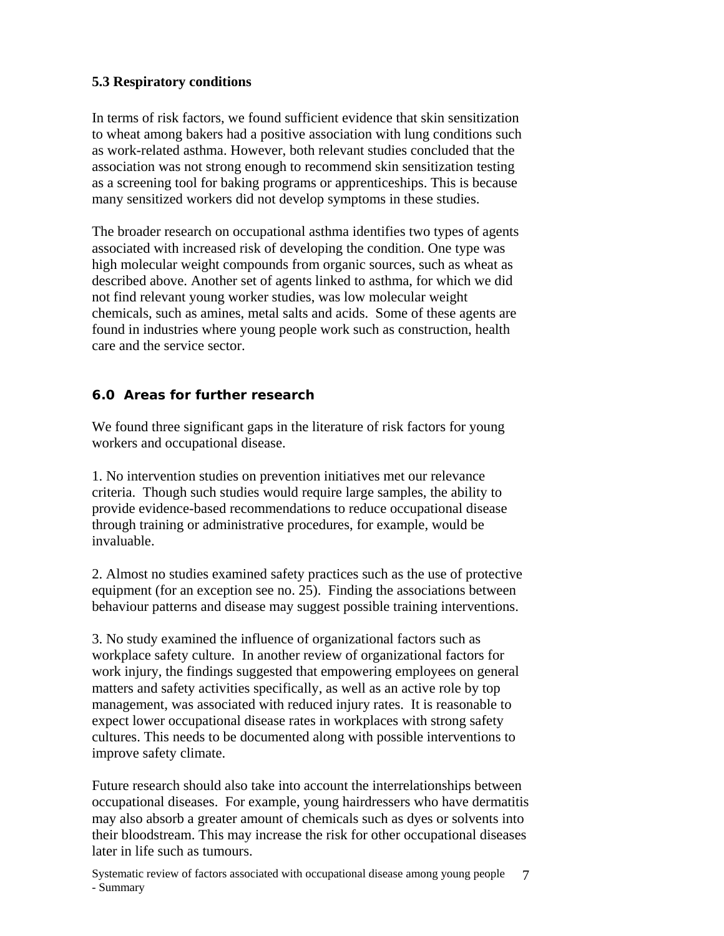### <span id="page-8-0"></span>**5.3 Respiratory conditions**

In terms of risk factors, we found sufficient evidence that skin sensitization to wheat among bakers had a positive association with lung conditions such as work-related asthma. However, both relevant studies concluded that the association was not strong enough to recommend skin sensitization testing as a screening tool for baking programs or apprenticeships. This is because many sensitized workers did not develop symptoms in these studies.

The broader research on occupational asthma identifies two types of agents associated with increased risk of developing the condition. One type was high molecular weight compounds from organic sources, such as wheat as described above. Another set of agents linked to asthma, for which we did not find relevant young worker studies, was low molecular weight chemicals, such as amines, metal salts and acids. Some of these agents are found in industries where young people work such as construction, health care and the service sector.

# **6.0 Areas for further research**

We found three significant gaps in the literature of risk factors for young workers and occupational disease.

1. No intervention studies on prevention initiatives met our relevance criteria. Though such studies would require large samples, the ability to provide evidence-based recommendations to reduce occupational disease through training or administrative procedures, for example, would be invaluable.

2. Almost no studies examined safety practices such as the use of protective equipment (for an exception see no. 25). Finding the associations between behaviour patterns and disease may suggest possible training interventions.

3. No study examined the influence of organizational factors such as workplace safety culture. In another review of organizational factors for work injury, the findings suggested that empowering employees on general matters and safety activities specifically, as well as an active role by top management, was associated with reduced injury rates. It is reasonable to expect lower occupational disease rates in workplaces with strong safety cultures. This needs to be documented along with possible interventions to improve safety climate.

Future research should also take into account the interrelationships between occupational diseases. For example, young hairdressers who have dermatitis may also absorb a greater amount of chemicals such as dyes or solvents into their bloodstream. This may increase the risk for other occupational diseases later in life such as tumours.

Systematic review of factors associated with occupational disease among young people - Summary 7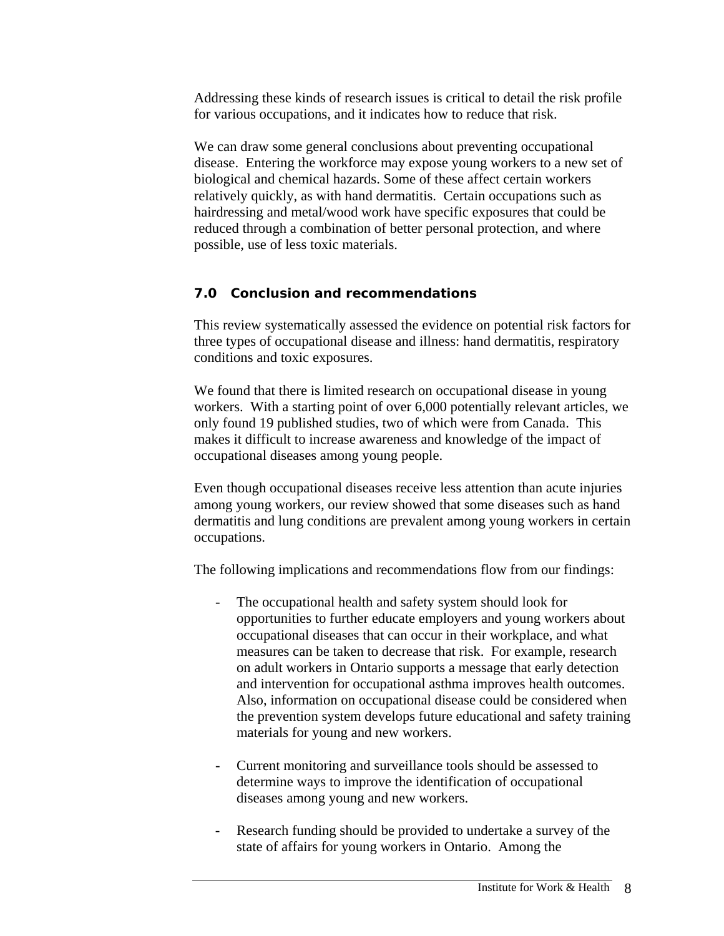<span id="page-9-0"></span>Addressing these kinds of research issues is critical to detail the risk profile for various occupations, and it indicates how to reduce that risk.

We can draw some general conclusions about preventing occupational disease. Entering the workforce may expose young workers to a new set of biological and chemical hazards. Some of these affect certain workers relatively quickly, as with hand dermatitis. Certain occupations such as hairdressing and metal/wood work have specific exposures that could be reduced through a combination of better personal protection, and where possible, use of less toxic materials.

### **7.0 Conclusion and recommendations**

This review systematically assessed the evidence on potential risk factors for three types of occupational disease and illness: hand dermatitis, respiratory conditions and toxic exposures.

We found that there is limited research on occupational disease in young workers. With a starting point of over 6,000 potentially relevant articles, we only found 19 published studies, two of which were from Canada. This makes it difficult to increase awareness and knowledge of the impact of occupational diseases among young people.

Even though occupational diseases receive less attention than acute injuries among young workers, our review showed that some diseases such as hand dermatitis and lung conditions are prevalent among young workers in certain occupations.

The following implications and recommendations flow from our findings:

- The occupational health and safety system should look for opportunities to further educate employers and young workers about occupational diseases that can occur in their workplace, and what measures can be taken to decrease that risk. For example, research on adult workers in Ontario supports a message that early detection and intervention for occupational asthma improves health outcomes. Also, information on occupational disease could be considered when the prevention system develops future educational and safety training materials for young and new workers.
- Current monitoring and surveillance tools should be assessed to determine ways to improve the identification of occupational diseases among young and new workers.
- Research funding should be provided to undertake a survey of the state of affairs for young workers in Ontario. Among the